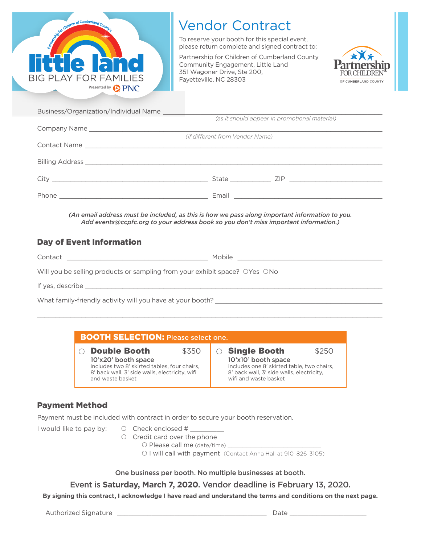

## **Vendor Contract**

To reserve your booth for this special event, please return complete and signed contract to:

Partnership for Children of Cumberland County Community Engagement, Little Land 351 Wagoner Drive, Ste 200, Fayetteville, NC 28303



| Business/Organization/Individual Name |                                 |                                               |  |
|---------------------------------------|---------------------------------|-----------------------------------------------|--|
|                                       |                                 | (as it should appear in promotional material) |  |
|                                       |                                 |                                               |  |
|                                       | (if different from Vendor Name) |                                               |  |
|                                       |                                 |                                               |  |
|                                       |                                 |                                               |  |
|                                       |                                 |                                               |  |
|                                       |                                 |                                               |  |
|                                       |                                 | State ZIP                                     |  |
|                                       |                                 |                                               |  |
|                                       |                                 |                                               |  |

(An email address must be included, as this is how we pass along important information to you. Add events@ccpfc.org to your address book so you don't miss important information.)

## **Day of Event Information**

| Contact the contract of the contract of the contract of the contract of the contract of the contract of the contract of the contract of the contract of the contract of the contract of the contract of the contract of the co | Mobile |  |  |
|--------------------------------------------------------------------------------------------------------------------------------------------------------------------------------------------------------------------------------|--------|--|--|
| Will you be selling products or sampling from your exhibit space? OYes ONo                                                                                                                                                     |        |  |  |
| If yes, describe                                                                                                                                                                                                               |        |  |  |
| What family-friendly activity will you have at your booth?                                                                                                                                                                     |        |  |  |

| <b>BOOTH SELECTION: Please select one.</b>     |                                            |  |  |  |
|------------------------------------------------|--------------------------------------------|--|--|--|
| <b>Double Booth</b>                            | ○ Single Booth                             |  |  |  |
| \$350                                          | \$250                                      |  |  |  |
| 10'x20' booth space                            | 10'x10' booth space                        |  |  |  |
| includes two 8' skirted tables, four chairs,   | includes one 8' skirted table, two chairs, |  |  |  |
| 8' back wall, 3' side walls, electricity, wifi | 8' back wall, 3' side walls, electricity,  |  |  |  |
| and waste basket                               | wifi and waste basket                      |  |  |  |

## **Payment Method**

Payment must be included with contract in order to secure your booth reservation.

I would like to pay by:

- $\circ$  Check enclosed #
- O Credit card over the phone
	- O Please call me (date/time) \_
	- O I will call with payment (Contact Anna Hall at 910-826-3105)

One business per booth. No multiple businesses at booth.

Event is Saturday, March 7, 2020. Vendor deadline is February 13, 2020.

By signing this contract, I acknowledge I have read and understand the terms and conditions on the next page.

Authorized Signature